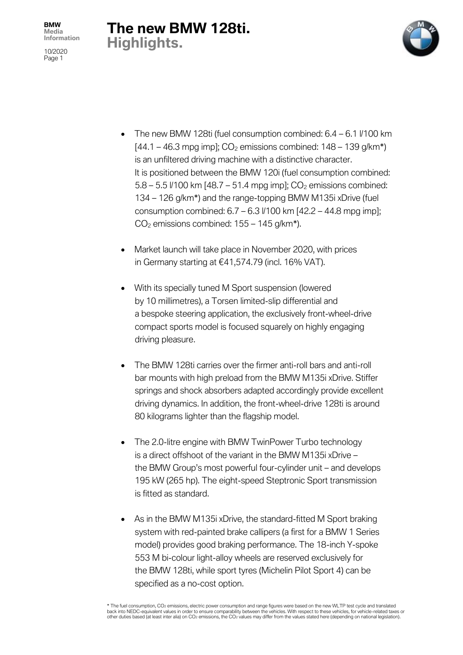10/2020 Page 1

## **The new BMW 128ti. Highlights.**



- The new BMW 128ti (fuel consumption combined:  $6.4 6.1$   $V100$  km  $[44.1 - 46.3$  mpg imp];  $CO<sub>2</sub>$  emissions combined: 148 – 139 g/km<sup>\*</sup>) is an unfiltered driving machine with a distinctive character. It is positioned between the BMW 120i (fuel consumption combined:  $5.8 - 5.5$  //100 km [48.7 – 51.4 mpg imp];  $CO<sub>2</sub>$  emissions combined: 134 – 126 g/km\*) and the range-topping BMW M135i xDrive (fuel consumption combined:  $6.7 - 6.3$   $\frac{1}{100}$  km  $\left[42.2 - 44.8\right]$  mpg impl;  $CO<sub>2</sub>$  emissions combined: 155 – 145 g/km<sup>\*</sup>).
- Market launch will take place in November 2020, with prices in Germany starting at €41,574.79 (incl. 16% VAT).
- With its specially tuned M Sport suspension (lowered by 10 millimetres), a Torsen limited-slip differential and a bespoke steering application, the exclusively front-wheel-drive compact sports model is focused squarely on highly engaging driving pleasure.
- The BMW 128ti carries over the firmer anti-roll bars and anti-roll bar mounts with high preload from the BMW M135i xDrive. Stiffer springs and shock absorbers adapted accordingly provide excellent driving dynamics. In addition, the front-wheel-drive 128ti is around 80 kilograms lighter than the flagship model.
- The 2.0-litre engine with BMW TwinPower Turbo technology is a direct offshoot of the variant in the BMW M135i xDrive – the BMW Group's most powerful four-cylinder unit – and develops 195 kW (265 hp). The eight-speed Steptronic Sport transmission is fitted as standard.
- As in the BMW M135 xDrive, the standard-fitted M Sport braking system with red-painted brake callipers (a first for a BMW 1 Series model) provides good braking performance. The 18-inch Y-spoke 553 M bi-colour light-alloy wheels are reserved exclusively for the BMW 128ti, while sport tyres (Michelin Pilot Sport 4) can be specified as a no-cost option.

\* The fuel consumption, CO2 emissions, electric power consumption and range figures were based on the new WLTP test cycle and translated<br>back into NEDC-equivalent values in order to ensure comparability between the vehicle